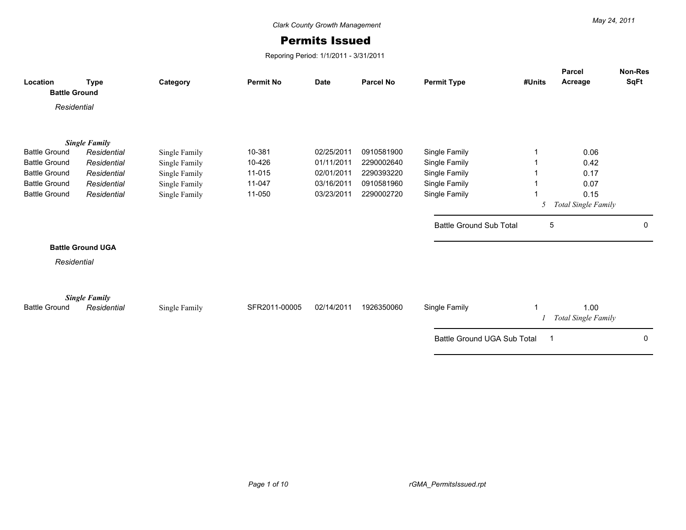## Permits Issued

Reporing Period: 1/1/2011 - 3/31/2011

| Location<br><b>Battle Ground</b>             | <b>Type</b>                | Category                       | <b>Permit No</b> | <b>Date</b>              | <b>Parcel No</b>         | <b>Permit Type</b>             | #Units | <b>Parcel</b><br>Acreage | <b>Non-Res</b><br><b>SqFt</b> |
|----------------------------------------------|----------------------------|--------------------------------|------------------|--------------------------|--------------------------|--------------------------------|--------|--------------------------|-------------------------------|
| Residential                                  |                            |                                |                  |                          |                          |                                |        |                          |                               |
|                                              |                            |                                |                  |                          |                          |                                |        |                          |                               |
|                                              | <b>Single Family</b>       |                                |                  |                          |                          |                                |        |                          |                               |
| <b>Battle Ground</b>                         | Residential                | Single Family                  | 10-381           | 02/25/2011               | 0910581900               | Single Family                  |        | 0.06                     |                               |
| <b>Battle Ground</b><br><b>Battle Ground</b> | Residential                | Single Family                  | 10-426<br>11-015 | 01/11/2011<br>02/01/2011 | 2290002640<br>2290393220 | Single Family                  |        | 0.42                     |                               |
| <b>Battle Ground</b>                         | Residential<br>Residential | Single Family                  | 11-047           | 03/16/2011               | 0910581960               | Single Family<br>Single Family |        | 0.17<br>0.07             |                               |
| <b>Battle Ground</b>                         | Residential                | Single Family<br>Single Family | 11-050           | 03/23/2011               | 2290002720               | Single Family                  |        | 0.15                     |                               |
|                                              |                            |                                |                  |                          |                          |                                | 5      | Total Single Family      |                               |
|                                              |                            |                                |                  |                          |                          |                                |        |                          |                               |
|                                              |                            |                                |                  |                          |                          | <b>Battle Ground Sub Total</b> | 5      |                          | 0                             |
|                                              | <b>Battle Ground UGA</b>   |                                |                  |                          |                          |                                |        |                          |                               |
| Residential                                  |                            |                                |                  |                          |                          |                                |        |                          |                               |
|                                              |                            |                                |                  |                          |                          |                                |        |                          |                               |
|                                              |                            |                                |                  |                          |                          |                                |        |                          |                               |
|                                              | <b>Single Family</b>       |                                |                  |                          |                          |                                |        |                          |                               |
| <b>Battle Ground</b>                         | Residential                | Single Family                  | SFR2011-00005    | 02/14/2011               | 1926350060               | Single Family                  |        | 1.00                     |                               |
|                                              |                            |                                |                  |                          |                          |                                |        | Total Single Family      |                               |
|                                              |                            |                                |                  |                          |                          | Battle Ground UGA Sub Total    | -1     |                          | 0                             |
|                                              |                            |                                |                  |                          |                          |                                |        |                          |                               |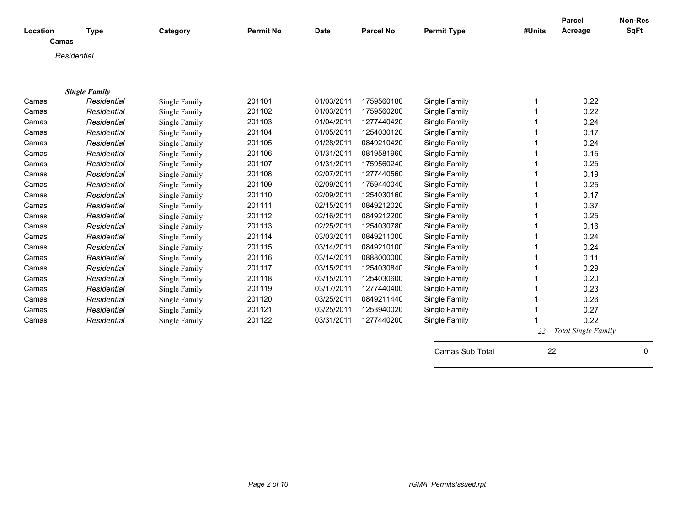| Location | <b>Type</b>          | Category      | <b>Permit No</b> | <b>Date</b> | <b>Parcel No</b> | <b>Permit Type</b> | #Units | <b>Parcel</b><br>Acreage   | Non-Res<br><b>SqFt</b> |
|----------|----------------------|---------------|------------------|-------------|------------------|--------------------|--------|----------------------------|------------------------|
| Camas    |                      |               |                  |             |                  |                    |        |                            |                        |
|          | Residential          |               |                  |             |                  |                    |        |                            |                        |
|          |                      |               |                  |             |                  |                    |        |                            |                        |
|          |                      |               |                  |             |                  |                    |        |                            |                        |
|          | <b>Single Family</b> |               |                  |             |                  |                    |        |                            |                        |
| Camas    | Residential          | Single Family | 201101           | 01/03/2011  | 1759560180       | Single Family      |        | 0.22                       |                        |
| Camas    | Residential          | Single Family | 201102           | 01/03/2011  | 1759560200       | Single Family      |        | 0.22                       |                        |
| Camas    | Residential          | Single Family | 201103           | 01/04/2011  | 1277440420       | Single Family      |        | 0.24                       |                        |
| Camas    | Residential          | Single Family | 201104           | 01/05/2011  | 1254030120       | Single Family      |        | 0.17                       |                        |
| Camas    | Residential          | Single Family | 201105           | 01/28/2011  | 0849210420       | Single Family      |        | 0.24                       |                        |
| Camas    | Residential          | Single Family | 201106           | 01/31/2011  | 0819581960       | Single Family      |        | 0.15                       |                        |
| Camas    | Residential          | Single Family | 201107           | 01/31/2011  | 1759560240       | Single Family      |        | 0.25                       |                        |
| Camas    | Residential          | Single Family | 201108           | 02/07/2011  | 1277440560       | Single Family      |        | 0.19                       |                        |
| Camas    | Residential          | Single Family | 201109           | 02/09/2011  | 1759440040       | Single Family      |        | 0.25                       |                        |
| Camas    | Residential          | Single Family | 201110           | 02/09/2011  | 1254030160       | Single Family      |        | 0.17                       |                        |
| Camas    | Residential          | Single Family | 201111           | 02/15/2011  | 0849212020       | Single Family      |        | 0.37                       |                        |
| Camas    | Residential          | Single Family | 201112           | 02/16/2011  | 0849212200       | Single Family      |        | 0.25                       |                        |
| Camas    | Residential          | Single Family | 201113           | 02/25/2011  | 1254030780       | Single Family      |        | 0.16                       |                        |
| Camas    | Residential          | Single Family | 201114           | 03/03/2011  | 0849211000       | Single Family      |        | 0.24                       |                        |
| Camas    | Residential          | Single Family | 201115           | 03/14/2011  | 0849210100       | Single Family      |        | 0.24                       |                        |
| Camas    | Residential          | Single Family | 201116           | 03/14/2011  | 0888000000       | Single Family      |        | 0.11                       |                        |
| Camas    | Residential          | Single Family | 201117           | 03/15/2011  | 1254030840       | Single Family      |        | 0.29                       |                        |
| Camas    | Residential          | Single Family | 201118           | 03/15/2011  | 1254030600       | Single Family      |        | 0.20                       |                        |
| Camas    | Residential          | Single Family | 201119           | 03/17/2011  | 1277440400       | Single Family      |        | 0.23                       |                        |
| Camas    | Residential          | Single Family | 201120           | 03/25/2011  | 0849211440       | Single Family      |        | 0.26                       |                        |
| Camas    | Residential          | Single Family | 201121           | 03/25/2011  | 1253940020       | Single Family      |        | 0.27                       |                        |
| Camas    | Residential          | Single Family | 201122           | 03/31/2011  | 1277440200       | Single Family      |        | 0.22                       |                        |
|          |                      |               |                  |             |                  |                    | 22     | <b>Total Single Family</b> |                        |
|          |                      |               |                  |             |                  |                    |        |                            |                        |
|          |                      |               |                  |             |                  | Camas Sub Total    | 22     |                            | 0                      |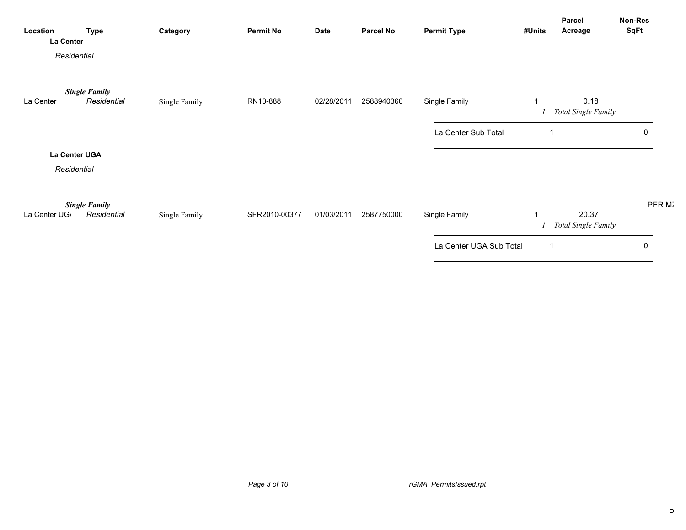| Location<br><b>La Center</b> | <b>Type</b>                         | Category      | <b>Permit No</b> | <b>Date</b> | <b>Parcel No</b> | <b>Permit Type</b>      | #Units | Parcel<br>Acreage                   | Non-Res<br>SqFt |
|------------------------------|-------------------------------------|---------------|------------------|-------------|------------------|-------------------------|--------|-------------------------------------|-----------------|
|                              | Residential                         |               |                  |             |                  |                         |        |                                     |                 |
| La Center                    | <b>Single Family</b><br>Residential | Single Family | RN10-888         | 02/28/2011  | 2588940360       | Single Family           |        | 0.18<br><b>Total Single Family</b>  |                 |
|                              |                                     |               |                  |             |                  | La Center Sub Total     |        |                                     | $\overline{0}$  |
|                              | La Center UGA<br>Residential        |               |                  |             |                  |                         |        |                                     |                 |
| La Center UG <sub>/</sub>    | <b>Single Family</b><br>Residential | Single Family | SFR2010-00377    | 01/03/2011  | 2587750000       | Single Family           |        | 20.37<br><b>Total Single Family</b> | PER M.          |
|                              |                                     |               |                  |             |                  | La Center UGA Sub Total |        |                                     | $\overline{0}$  |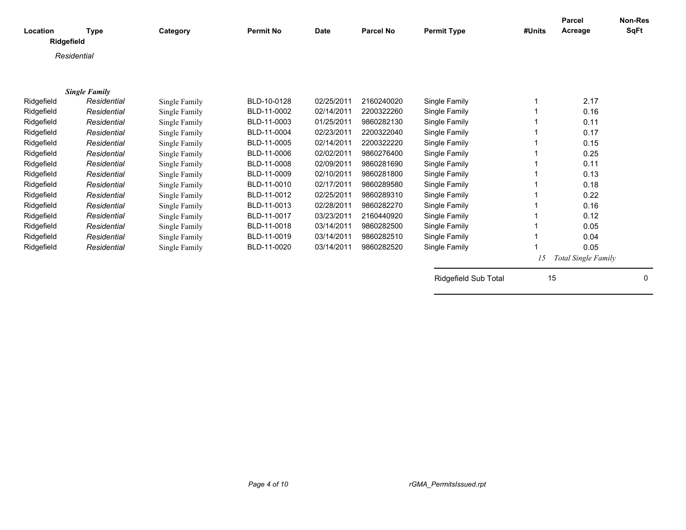| Location    | <b>Type</b>          | Category      | <b>Permit No</b> | <b>Date</b> | <b>Parcel No</b> | <b>Permit Type</b>   | #Units | <b>Parcel</b><br>Acreage   | <b>Non-Res</b><br>SqFt |
|-------------|----------------------|---------------|------------------|-------------|------------------|----------------------|--------|----------------------------|------------------------|
| Ridgefield  |                      |               |                  |             |                  |                      |        |                            |                        |
| Residential |                      |               |                  |             |                  |                      |        |                            |                        |
|             |                      |               |                  |             |                  |                      |        |                            |                        |
|             |                      |               |                  |             |                  |                      |        |                            |                        |
|             | <b>Single Family</b> |               |                  |             |                  |                      |        |                            |                        |
| Ridgefield  | Residential          | Single Family | BLD-10-0128      | 02/25/2011  | 2160240020       | Single Family        | 1      | 2.17                       |                        |
| Ridgefield  | Residential          | Single Family | BLD-11-0002      | 02/14/2011  | 2200322260       | Single Family        |        | 0.16                       |                        |
| Ridgefield  | Residential          | Single Family | BLD-11-0003      | 01/25/2011  | 9860282130       | Single Family        |        | 0.11                       |                        |
| Ridgefield  | Residential          | Single Family | BLD-11-0004      | 02/23/2011  | 2200322040       | Single Family        |        | 0.17                       |                        |
| Ridgefield  | Residential          | Single Family | BLD-11-0005      | 02/14/2011  | 2200322220       | Single Family        |        | 0.15                       |                        |
| Ridgefield  | Residential          | Single Family | BLD-11-0006      | 02/02/2011  | 9860276400       | Single Family        |        | 0.25                       |                        |
| Ridgefield  | Residential          | Single Family | BLD-11-0008      | 02/09/2011  | 9860281690       | Single Family        |        | 0.11                       |                        |
| Ridgefield  | Residential          | Single Family | BLD-11-0009      | 02/10/2011  | 9860281800       | Single Family        |        | 0.13                       |                        |
| Ridgefield  | Residential          | Single Family | BLD-11-0010      | 02/17/2011  | 9860289580       | Single Family        |        | 0.18                       |                        |
| Ridgefield  | Residential          | Single Family | BLD-11-0012      | 02/25/2011  | 9860289310       | Single Family        |        | 0.22                       |                        |
| Ridgefield  | Residential          | Single Family | BLD-11-0013      | 02/28/2011  | 9860282270       | Single Family        | 1      | 0.16                       |                        |
| Ridgefield  | Residential          | Single Family | BLD-11-0017      | 03/23/2011  | 2160440920       | Single Family        |        | 0.12                       |                        |
| Ridgefield  | Residential          | Single Family | BLD-11-0018      | 03/14/2011  | 9860282500       | Single Family        |        | 0.05                       |                        |
| Ridgefield  | Residential          | Single Family | BLD-11-0019      | 03/14/2011  | 9860282510       | Single Family        | 1      | 0.04                       |                        |
| Ridgefield  | Residential          | Single Family | BLD-11-0020      | 03/14/2011  | 9860282520       | Single Family        |        | 0.05                       |                        |
|             |                      |               |                  |             |                  |                      | 15     | <b>Total Single Family</b> |                        |
|             |                      |               |                  |             |                  | Ridgefield Sub Total | 15     |                            | 0                      |
|             |                      |               |                  |             |                  |                      |        |                            |                        |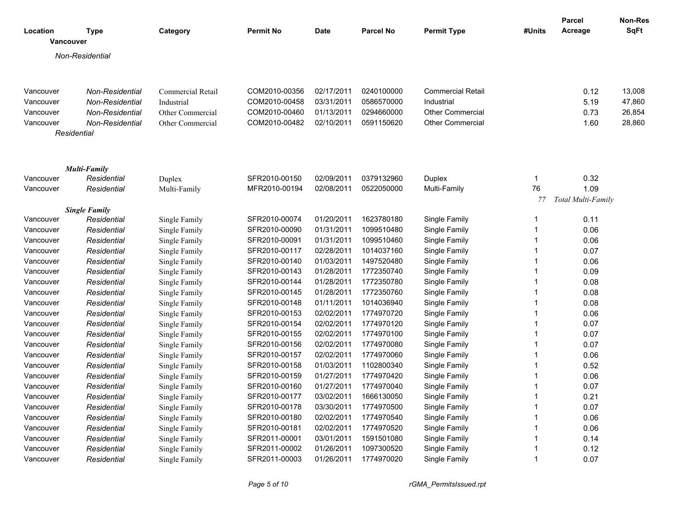| Location<br><b>Vancouver</b> | <b>Type</b>                | Category                       | <b>Permit No</b>               | <b>Date</b> | <b>Parcel No</b> | <b>Permit Type</b>             | #Units                  | Parcel<br>Acreage  | <b>Non-Res</b><br><b>SqFt</b> |
|------------------------------|----------------------------|--------------------------------|--------------------------------|-------------|------------------|--------------------------------|-------------------------|--------------------|-------------------------------|
|                              | Non-Residential            |                                |                                |             |                  |                                |                         |                    |                               |
|                              |                            |                                |                                |             |                  |                                |                         |                    |                               |
|                              |                            |                                |                                |             |                  |                                |                         |                    |                               |
| Vancouver                    | Non-Residential            | <b>Commercial Retail</b>       | COM2010-00356                  | 02/17/2011  | 0240100000       | <b>Commercial Retail</b>       |                         | 0.12               | 13,008                        |
| Vancouver                    | Non-Residential            | Industrial                     | COM2010-00458                  | 03/31/2011  | 0586570000       | Industrial                     |                         | 5.19               | 47,860                        |
| Vancouver                    | Non-Residential            | Other Commercial               | COM2010-00460                  | 01/13/2011  | 0294660000       | <b>Other Commercial</b>        |                         | 0.73               | 26,854                        |
| Vancouver                    | Non-Residential            | Other Commercial               | COM2010-00482                  | 02/10/2011  | 0591150620       | <b>Other Commercial</b>        |                         | 1.60               | 28,860                        |
|                              | Residential                |                                |                                |             |                  |                                |                         |                    |                               |
|                              |                            |                                |                                |             |                  |                                |                         |                    |                               |
|                              | Multi-Family               |                                |                                |             |                  |                                |                         |                    |                               |
| Vancouver                    | Residential                | Duplex                         | SFR2010-00150                  | 02/09/2011  | 0379132960       | Duplex                         | $\mathbf{1}$            | 0.32               |                               |
| Vancouver                    | Residential                | Multi-Family                   | MFR2010-00194                  | 02/08/2011  | 0522050000       | Multi-Family                   | 76                      | 1.09               |                               |
|                              |                            |                                |                                |             |                  |                                | 77                      | Total Multi-Family |                               |
|                              | <b>Single Family</b>       |                                |                                | 01/20/2011  | 1623780180       | Single Family                  | $\mathbf 1$             | 0.11               |                               |
| Vancouver<br>Vancouver       | Residential<br>Residential | Single Family                  | SFR2010-00074<br>SFR2010-00090 | 01/31/2011  | 1099510480       |                                | $\mathbf{1}$            | 0.06               |                               |
| Vancouver                    | Residential                | Single Family                  | SFR2010-00091                  | 01/31/2011  | 1099510460       | Single Family                  | $\mathbf{1}$            |                    |                               |
|                              | Residential                | Single Family<br>Single Family | SFR2010-00117                  | 02/28/2011  | 1014037160       | Single Family                  | 1                       | 0.06<br>0.07       |                               |
| Vancouver<br>Vancouver       | Residential                | Single Family                  | SFR2010-00140                  | 01/03/2011  | 1497520480       | Single Family<br>Single Family | $\mathbf 1$             | 0.06               |                               |
| Vancouver                    | Residential                | Single Family                  | SFR2010-00143                  | 01/28/2011  | 1772350740       | Single Family                  | $\overline{1}$          | 0.09               |                               |
| Vancouver                    | Residential                | Single Family                  | SFR2010-00144                  | 01/28/2011  | 1772350780       | Single Family                  | $\mathbf{1}$            | 0.08               |                               |
| Vancouver                    | Residential                | Single Family                  | SFR2010-00145                  | 01/28/2011  | 1772350760       | Single Family                  | $\mathbf{1}$            | 0.08               |                               |
| Vancouver                    | Residential                | Single Family                  | SFR2010-00148                  | 01/11/2011  | 1014036940       | Single Family                  | $\mathbf{1}$            | 0.08               |                               |
| Vancouver                    | Residential                | Single Family                  | SFR2010-00153                  | 02/02/2011  | 1774970720       | Single Family                  | $\mathbf{1}$            | 0.06               |                               |
| Vancouver                    | Residential                | Single Family                  | SFR2010-00154                  | 02/02/2011  | 1774970120       | Single Family                  | $\mathbf 1$             | 0.07               |                               |
| Vancouver                    | Residential                | Single Family                  | SFR2010-00155                  | 02/02/2011  | 1774970100       | Single Family                  | $\overline{1}$          | 0.07               |                               |
| Vancouver                    | Residential                | Single Family                  | SFR2010-00156                  | 02/02/2011  | 1774970080       | Single Family                  | $\mathbf{1}$            | 0.07               |                               |
| Vancouver                    | Residential                | Single Family                  | SFR2010-00157                  | 02/02/2011  | 1774970060       | Single Family                  | $\overline{1}$          | 0.06               |                               |
| Vancouver                    | Residential                | Single Family                  | SFR2010-00158                  | 01/03/2011  | 1102800340       | Single Family                  | $\mathbf 1$             | 0.52               |                               |
| Vancouver                    | Residential                | Single Family                  | SFR2010-00159                  | 01/27/2011  | 1774970420       | Single Family                  | $\overline{1}$          | 0.06               |                               |
| Vancouver                    | Residential                | Single Family                  | SFR2010-00160                  | 01/27/2011  | 1774970040       | Single Family                  | $\overline{\mathbf{1}}$ | 0.07               |                               |
| Vancouver                    | Residential                | Single Family                  | SFR2010-00177                  | 03/02/2011  | 1666130050       | Single Family                  | $\mathbf{1}$            | 0.21               |                               |
| Vancouver                    | Residential                | Single Family                  | SFR2010-00178                  | 03/30/2011  | 1774970500       | Single Family                  | $\overline{1}$          | 0.07               |                               |
| Vancouver                    | Residential                | Single Family                  | SFR2010-00180                  | 02/02/2011  | 1774970540       | Single Family                  | $\mathbf 1$             | 0.06               |                               |
| Vancouver                    | Residential                | Single Family                  | SFR2010-00181                  | 02/02/2011  | 1774970520       | Single Family                  | $\overline{1}$          | 0.06               |                               |
| Vancouver                    | Residential                | Single Family                  | SFR2011-00001                  | 03/01/2011  | 1591501080       | Single Family                  | $\mathbf 1$             | 0.14               |                               |
| Vancouver                    | Residential                | Single Family                  | SFR2011-00002                  | 01/26/2011  | 1097300520       | Single Family                  | $\mathbf{1}$            | 0.12               |                               |
| Vancouver                    | Residential                | Single Family                  | SFR2011-00003                  | 01/26/2011  | 1774970020       | Single Family                  | $\mathbf 1$             | 0.07               |                               |
|                              |                            |                                |                                |             |                  |                                |                         |                    |                               |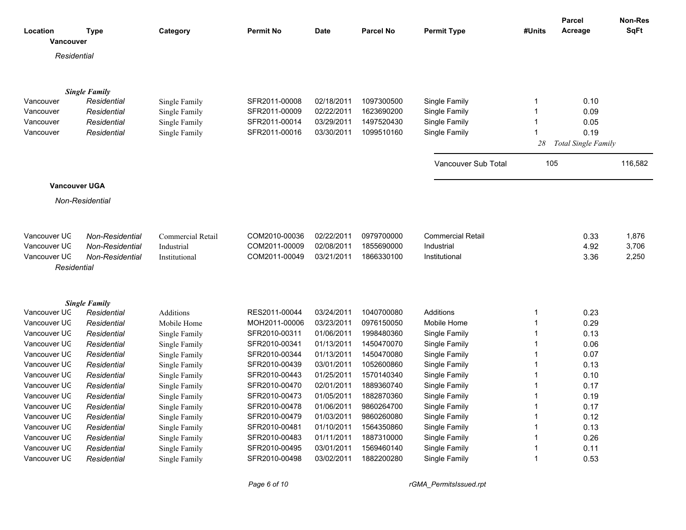|                       |                                     |                          |                  |             |                  |                          |              | <b>Parcel</b>       | <b>Non-Res</b> |
|-----------------------|-------------------------------------|--------------------------|------------------|-------------|------------------|--------------------------|--------------|---------------------|----------------|
| Location<br>Vancouver | Type                                | Category                 | <b>Permit No</b> | <b>Date</b> | <b>Parcel No</b> | <b>Permit Type</b>       | #Units       | Acreage             | <b>SqFt</b>    |
| Residential           |                                     |                          |                  |             |                  |                          |              |                     |                |
|                       |                                     |                          |                  |             |                  |                          |              |                     |                |
|                       |                                     |                          |                  |             |                  |                          |              |                     |                |
|                       | <b>Single Family</b>                |                          |                  |             |                  |                          |              |                     |                |
| Vancouver             | Residential                         | Single Family            | SFR2011-00008    | 02/18/2011  | 1097300500       | Single Family            | 1            | 0.10                |                |
| Vancouver             | Residential                         | Single Family            | SFR2011-00009    | 02/22/2011  | 1623690200       | Single Family            | $\mathbf 1$  | 0.09                |                |
| Vancouver             | Residential                         | Single Family            | SFR2011-00014    | 03/29/2011  | 1497520430       | Single Family            | -1           | 0.05                |                |
| Vancouver             | Residential                         | Single Family            | SFR2011-00016    | 03/30/2011  | 1099510160       | Single Family            | -1           | 0.19                |                |
|                       |                                     |                          |                  |             |                  |                          | 28           | Total Single Family |                |
|                       |                                     |                          |                  |             |                  | Vancouver Sub Total      | 105          |                     | 116,582        |
|                       |                                     |                          |                  |             |                  |                          |              |                     |                |
| <b>Vancouver UGA</b>  |                                     |                          |                  |             |                  |                          |              |                     |                |
|                       | Non-Residential                     |                          |                  |             |                  |                          |              |                     |                |
| Vancouver UC          | <b>Non-Residential</b>              | <b>Commercial Retail</b> | COM2010-00036    | 02/22/2011  | 0979700000       | <b>Commercial Retail</b> |              | 0.33                | 1,876          |
| Vancouver UC          | Non-Residential                     | Industrial               | COM2011-00009    | 02/08/2011  | 1855690000       | Industrial               |              | 4.92                | 3,706          |
| Vancouver UC          | <b>Non-Residential</b>              | Institutional            | COM2011-00049    | 03/21/2011  | 1866330100       | Institutional            |              | 3.36                | 2,250          |
| Residential           |                                     |                          |                  |             |                  |                          |              |                     |                |
|                       |                                     |                          |                  |             |                  |                          |              |                     |                |
| Vancouver UC          | <b>Single Family</b><br>Residential | <b>Additions</b>         | RES2011-00044    | 03/24/2011  | 1040700080       | <b>Additions</b>         | $\mathbf 1$  | 0.23                |                |
| Vancouver UC          | Residential                         | Mobile Home              | MOH2011-00006    | 03/23/2011  | 0976150050       | Mobile Home              | -1           | 0.29                |                |
| Vancouver UC          | Residential                         | Single Family            | SFR2010-00311    | 01/06/2011  | 1998480360       | Single Family            | -1           | 0.13                |                |
| Vancouver UC          | Residential                         | Single Family            | SFR2010-00341    | 01/13/2011  | 1450470070       | Single Family            | -1           | 0.06                |                |
| Vancouver UC          | Residential                         | Single Family            | SFR2010-00344    | 01/13/2011  | 1450470080       | Single Family            | $\mathbf 1$  | 0.07                |                |
| Vancouver UC          | Residential                         | Single Family            | SFR2010-00439    | 03/01/2011  | 1052600860       | Single Family            | 1            | 0.13                |                |
| Vancouver UC          | Residential                         | Single Family            | SFR2010-00443    | 01/25/2011  | 1570140340       | Single Family            | -1           | 0.10                |                |
| Vancouver UC          | Residential                         | Single Family            | SFR2010-00470    | 02/01/2011  | 1889360740       | Single Family            | $\mathbf 1$  | 0.17                |                |
| Vancouver UC          | Residential                         | Single Family            | SFR2010-00473    | 01/05/2011  | 1882870360       | Single Family            |              | 0.19                |                |
| Vancouver UC          | Residential                         | Single Family            | SFR2010-00478    | 01/06/2011  | 9860264700       | Single Family            | -1           | 0.17                |                |
| Vancouver UC          | Residential                         | Single Family            | SFR2010-00479    | 01/03/2011  | 9860260080       | Single Family            | -1           | 0.12                |                |
| Vancouver UC          | Residential                         | Single Family            | SFR2010-00481    | 01/10/2011  | 1564350860       | Single Family            | -1           | 0.13                |                |
| Vancouver UC          | Residential                         | Single Family            | SFR2010-00483    | 01/11/2011  | 1887310000       | Single Family            | $\mathbf{1}$ | 0.26                |                |
| Vancouver UC          | Residential                         | Single Family            | SFR2010-00495    | 03/01/2011  | 1569460140       | Single Family            | -1           | 0.11                |                |
| Vancouver UC          | Residential                         | Single Family            | SFR2010-00498    | 03/02/2011  | 1882200280       | Single Family            | $\mathbf 1$  | 0.53                |                |
|                       |                                     |                          |                  |             |                  |                          |              |                     |                |

*Page 6 of 10 rGMA\_PermitsIssued.rpt*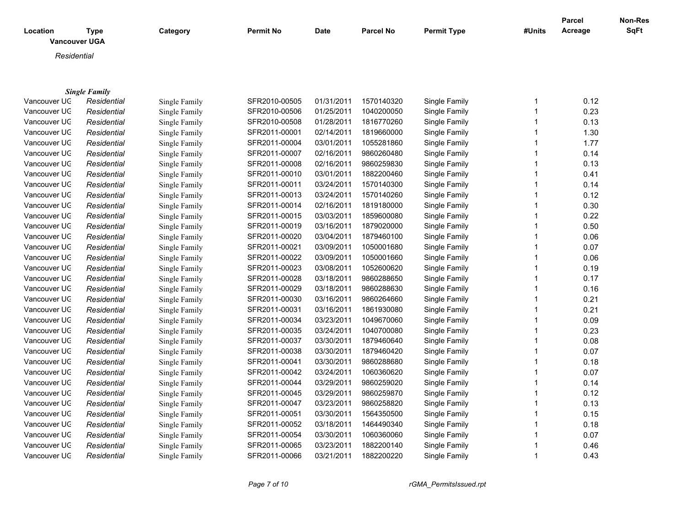| Location     | <b>Type</b><br><b>Vancouver UGA</b> | Category      | <b>Permit No</b> | <b>Date</b> | <b>Parcel No</b> | <b>Permit Type</b> | #Units | Parcel<br>Acreage | Non-Res<br>SqFt |
|--------------|-------------------------------------|---------------|------------------|-------------|------------------|--------------------|--------|-------------------|-----------------|
| Residential  |                                     |               |                  |             |                  |                    |        |                   |                 |
|              |                                     |               |                  |             |                  |                    |        |                   |                 |
|              |                                     |               |                  |             |                  |                    |        |                   |                 |
|              | <b>Single Family</b>                |               |                  |             |                  |                    |        |                   |                 |
| Vancouver UC | Residential                         | Single Family | SFR2010-00505    | 01/31/2011  | 1570140320       | Single Family      |        | 0.12              |                 |
| Vancouver UC | Residential                         | Single Family | SFR2010-00506    | 01/25/2011  | 1040200050       | Single Family      |        | 0.23              |                 |
| Vancouver UC | Residential                         | Single Family | SFR2010-00508    | 01/28/2011  | 1816770260       | Single Family      |        | 0.13              |                 |
| Vancouver UC | Residential                         | Single Family | SFR2011-00001    | 02/14/2011  | 1819660000       | Single Family      |        | 1.30              |                 |
| Vancouver UC | Residential                         | Single Family | SFR2011-00004    | 03/01/2011  | 1055281860       | Single Family      |        | 1.77              |                 |
| Vancouver UC | Residential                         | Single Family | SFR2011-00007    | 02/16/2011  | 9860260480       | Single Family      |        | 0.14              |                 |
| Vancouver UC | Residential                         | Single Family | SFR2011-00008    | 02/16/2011  | 9860259830       | Single Family      |        | 0.13              |                 |
| Vancouver UC | Residential                         | Single Family | SFR2011-00010    | 03/01/2011  | 1882200460       | Single Family      |        | 0.41              |                 |
| Vancouver UC | Residential                         | Single Family | SFR2011-00011    | 03/24/2011  | 1570140300       | Single Family      |        | 0.14              |                 |
| Vancouver UC | Residential                         | Single Family | SFR2011-00013    | 03/24/2011  | 1570140260       | Single Family      |        | 0.12              |                 |
| Vancouver UC | Residential                         | Single Family | SFR2011-00014    | 02/16/2011  | 1819180000       | Single Family      |        | 0.30              |                 |
| Vancouver UC | Residential                         | Single Family | SFR2011-00015    | 03/03/2011  | 1859600080       | Single Family      |        | 0.22              |                 |
| Vancouver UC | Residential                         | Single Family | SFR2011-00019    | 03/16/2011  | 1879020000       | Single Family      |        | 0.50              |                 |
| Vancouver UC | Residential                         | Single Family | SFR2011-00020    | 03/04/2011  | 1879460100       | Single Family      |        | 0.06              |                 |
| Vancouver UC | Residential                         | Single Family | SFR2011-00021    | 03/09/2011  | 1050001680       | Single Family      |        | 0.07              |                 |
| Vancouver UC | Residential                         | Single Family | SFR2011-00022    | 03/09/2011  | 1050001660       | Single Family      |        | 0.06              |                 |
| Vancouver UC | Residential                         | Single Family | SFR2011-00023    | 03/08/2011  | 1052600620       | Single Family      |        | 0.19              |                 |
| Vancouver UC | Residential                         | Single Family | SFR2011-00028    | 03/18/2011  | 9860288650       | Single Family      |        | 0.17              |                 |
| Vancouver UC | Residential                         | Single Family | SFR2011-00029    | 03/18/2011  | 9860288630       | Single Family      |        | 0.16              |                 |
| Vancouver UC | Residential                         | Single Family | SFR2011-00030    | 03/16/2011  | 9860264660       | Single Family      |        | 0.21              |                 |
| Vancouver UC | Residential                         | Single Family | SFR2011-00031    | 03/16/2011  | 1861930080       | Single Family      |        | 0.21              |                 |
| Vancouver UC | Residential                         | Single Family | SFR2011-00034    | 03/23/2011  | 1049670060       | Single Family      |        | 0.09              |                 |
| Vancouver UC | Residential                         | Single Family | SFR2011-00035    | 03/24/2011  | 1040700080       | Single Family      |        | 0.23              |                 |
| Vancouver UC | Residential                         | Single Family | SFR2011-00037    | 03/30/2011  | 1879460640       | Single Family      |        | 0.08              |                 |
| Vancouver UC | Residential                         | Single Family | SFR2011-00038    | 03/30/2011  | 1879460420       | Single Family      |        | 0.07              |                 |

Vancouver UGA *Residential* Single Family SFR2011-00041 03/30/2011 9860288680 Single Family 1 0.18 Vancouver UGA *Residential* Single Family SFR2011-00042 03/24/2011 1060360620 Single Family 1 0.07 Vancouver UGA *Residential* Single Family SFR2011-00044 03/29/2011 9860259020 Single Family 1 0.14 Vancouver UGA *Residential* Single Family SFR2011-00045 03/29/2011 9860259870 Single Family 1 0.12 Vancouver UGA *Residential* Single Family SFR2011-00047 03/23/2011 9860258820 Single Family 1 0.13 Vancouver UGA *Residential* Single Family SFR2011-00051 03/30/2011 1564350500 Single Family 1 0.15

Vancouver UGA *Residential* Single Family SFR2011-00052 03/18/2011 1464490340 Single Family 1 0.18 Vancouver UGA *Residential* Single Family SFR2011-00054 03/30/2011 1060360060 Single Family 1 0.07 Vancouver UGA *Residential* Single Family SFR2011-00065 03/23/2011 1882200140 Single Family 1 0.46 Vancouver UGA *Residential* Single Family SFR2011-00066 03/21/2011 1882200220 Single Family 1 0.43

*Page 7 of 10 rGMA\_PermitsIssued.rpt*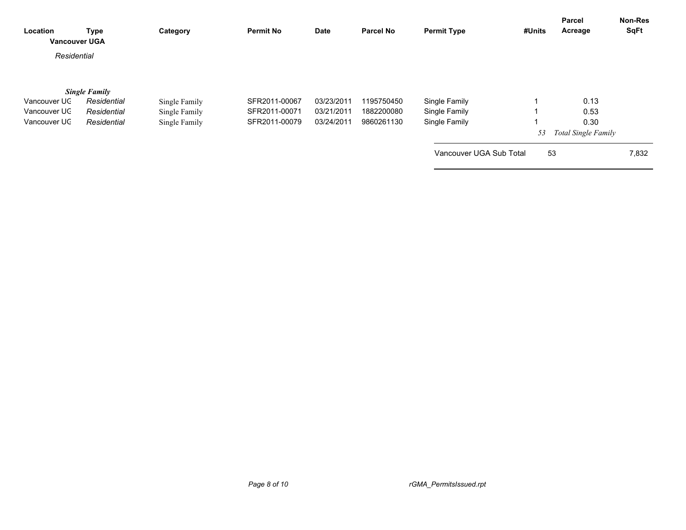| Location<br><b>Vancouver UGA</b> | <b>Type</b>                                        | Category                       | <b>Permit No</b>               | Date                     | <b>Parcel No</b>         | <b>Permit Type</b>             | #Units | Parcel<br>Acreage                  | Non-Res<br>SqFt |
|----------------------------------|----------------------------------------------------|--------------------------------|--------------------------------|--------------------------|--------------------------|--------------------------------|--------|------------------------------------|-----------------|
| Residential                      |                                                    |                                |                                |                          |                          |                                |        |                                    |                 |
| Vancouver UC<br>Vancouver UC     | <b>Single Family</b><br>Residential<br>Residential | Single Family<br>Single Family | SFR2011-00067<br>SFR2011-00071 | 03/23/2011<br>03/21/2011 | 1195750450<br>1882200080 | Single Family<br>Single Family |        | 0.13<br>0.53                       |                 |
| Vancouver UC                     | Residential                                        | Single Family                  | SFR2011-00079                  | 03/24/2011               | 9860261130               | Single Family                  | 53     | 0.30<br><b>Total Single Family</b> |                 |
|                                  |                                                    |                                |                                |                          |                          | Vancouver UGA Sub Total        |        | 53                                 | 7,832           |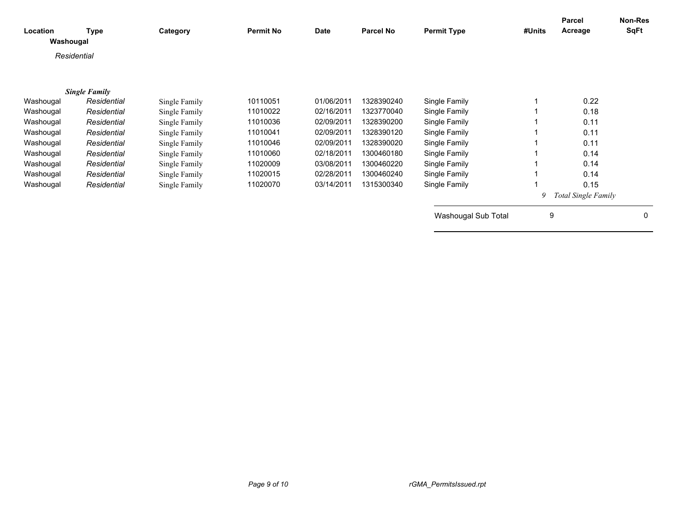| Location<br>Washougal | <b>Type</b>          | Category      | <b>Permit No</b> | <b>Date</b> | <b>Parcel No</b> | <b>Permit Type</b>  | #Units | Parcel<br>Acreage          | Non-Res<br><b>SqFt</b> |
|-----------------------|----------------------|---------------|------------------|-------------|------------------|---------------------|--------|----------------------------|------------------------|
| Residential           |                      |               |                  |             |                  |                     |        |                            |                        |
|                       | <b>Single Family</b> |               |                  |             |                  |                     |        |                            |                        |
| Washougal             | Residential          | Single Family | 10110051         | 01/06/2011  | 1328390240       | Single Family       |        | 0.22                       |                        |
| Washougal             | Residential          | Single Family | 11010022         | 02/16/2011  | 1323770040       | Single Family       |        | 0.18                       |                        |
| Washougal             | Residential          | Single Family | 11010036         | 02/09/2011  | 1328390200       | Single Family       |        | 0.11                       |                        |
| Washougal             | Residential          | Single Family | 11010041         | 02/09/2011  | 1328390120       | Single Family       |        | 0.11                       |                        |
| Washougal             | Residential          | Single Family | 11010046         | 02/09/2011  | 1328390020       | Single Family       |        | 0.11                       |                        |
| Washougal             | Residential          | Single Family | 11010060         | 02/18/2011  | 1300460180       | Single Family       |        | 0.14                       |                        |
| Washougal             | Residential          | Single Family | 11020009         | 03/08/2011  | 1300460220       | Single Family       |        | 0.14                       |                        |
| Washougal             | Residential          | Single Family | 11020015         | 02/28/2011  | 1300460240       | Single Family       |        | 0.14                       |                        |
| Washougal             | Residential          | Single Family | 11020070         | 03/14/2011  | 1315300340       | Single Family       |        | 0.15                       |                        |
|                       |                      |               |                  |             |                  |                     | 9      | <b>Total Single Family</b> |                        |
|                       |                      |               |                  |             |                  | Washougal Sub Total | 9      |                            | $\mathbf{0}$           |